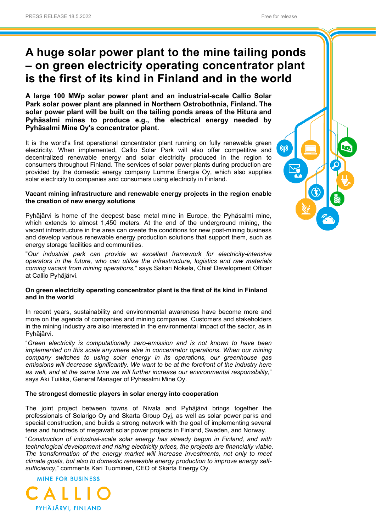# **A huge solar power plant to the mine tailing ponds – on green electricity operating concentrator plant is the first of its kind in Finland and in the world**

**A large 100 MWp solar power plant and an industrial-scale Callio Solar Park solar power plant are planned in Northern Ostrobothnia, Finland. The solar power plant will be built on the tailing ponds areas of the Hitura and Pyhäsalmi mines to produce e.g., the electrical energy needed by Pyhäsalmi Mine Oy's concentrator plant.**

It is the world's first operational concentrator plant running on fully renewable green electricity. When implemented, Callio Solar Park will also offer competitive and decentralized renewable energy and solar electricity produced in the region to consumers throughout Finland. The services of solar power plants during production are provided by the domestic energy company Lumme Energia Oy, which also supplies solar electricity to companies and consumers using electricity in Finland.

#### **Vacant mining infrastructure and renewable energy projects in the region enable the creation of new energy solutions**

Pyhäjärvi is home of the deepest base metal mine in Europe, the Pyhäsalmi mine, which extends to almost 1,450 meters. At the end of the underground mining, the vacant infrastructure in the area can create the conditions for new post-mining business and develop various renewable energy production solutions that support them, such as energy storage facilities and communities.

"*Our industrial park can provide an excellent framework for electricity-intensive operators in the future, who can utilize the infrastructure, logistics and raw materials coming vacant from mining operations*," says Sakari Nokela, Chief Development Officer at Callio Pyhäjärvi.

## **On green electricity operating concentrator plant is the first of its kind in Finland and in the world**

In recent years, sustainability and environmental awareness have become more and more on the agenda of companies and mining companies. Customers and stakeholders in the mining industry are also interested in the environmental impact of the sector, as in Pyhäjärvi.

"*Green electricity is computationally zero-emission and is not known to have been implemented on this scale anywhere else in concentrator operations. When our mining company switches to using solar energy in its operations, our greenhouse gas*  emissions will decrease significantly. We want to be at the forefront of the industry here *as well, and at the same time we will further increase our environmental responsibility*," says Aki Tuikka, General Manager of Pyhäsalmi Mine Oy.

## **The strongest domestic players in solar energy into cooperation**

The joint project between towns of Nivala and Pyhäjärvi brings together the professionals of Solarigo Oy and Skarta Group Oyj, as well as solar power parks and special construction, and builds a strong network with the goal of implementing several tens and hundreds of megawatt solar power projects in Finland, Sweden, and Norway.

"*Construction of industrial-scale solar energy has already begun in Finland, and with technological development and rising electricity prices, the projects are financially viable. The transformation of the energy market will increase investments, not only to meet climate goals, but also to domestic renewable energy production to improve energy selfsufficiency*," comments Kari Tuominen, CEO of Skarta Energy Oy.



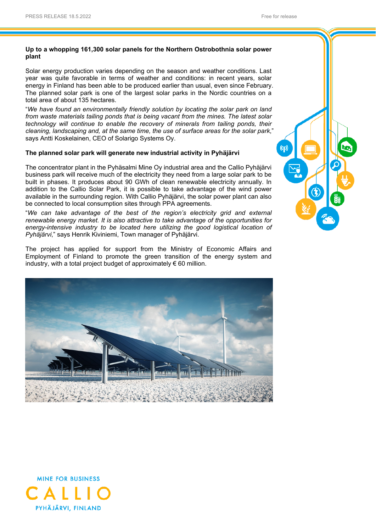#### **Up to a whopping 161,300 solar panels for the Northern Ostrobothnia solar power plant**

Solar energy production varies depending on the season and weather conditions. Last year was quite favorable in terms of weather and conditions: in recent years, solar energy in Finland has been able to be produced earlier than usual, even since February. The planned solar park is one of the largest solar parks in the Nordic countries on a total area of about 135 hectares.

"*We have found an environmentally friendly solution by locating the solar park on land from waste materials tailing ponds that is being vacant from the mines. The latest solar technology will continue to enable the recovery of minerals from tailing ponds, their cleaning, landscaping and, at the same time, the use of surface areas for the solar park*," says Antti Koskelainen, CEO of Solarigo Systems Oy.

#### **The planned solar park will generate new industrial activity in Pyhäjärvi**

The concentrator plant in the Pyhäsalmi Mine Oy industrial area and the Callio Pyhäjärvi business park will receive much of the electricity they need from a large solar park to be built in phases. It produces about 90 GWh of clean renewable electricity annually. In addition to the Callio Solar Park, it is possible to take advantage of the wind power available in the surrounding region. With Callio Pyhäjärvi, the solar power plant can also be connected to local consumption sites through PPA agreements.

"*We can take advantage of the best of the region's electricity grid and external renewable energy market. It is also attractive to take advantage of the opportunities for energy-intensive industry to be located here utilizing the good logistical location of Pyhäjärvi*," says Henrik Kiviniemi, Town manager of Pyhäjärvi.

The project has applied for support from the Ministry of Economic Affairs and Employment of Finland to promote the green transition of the energy system and industry, with a total project budget of approximately  $\epsilon$  60 million.